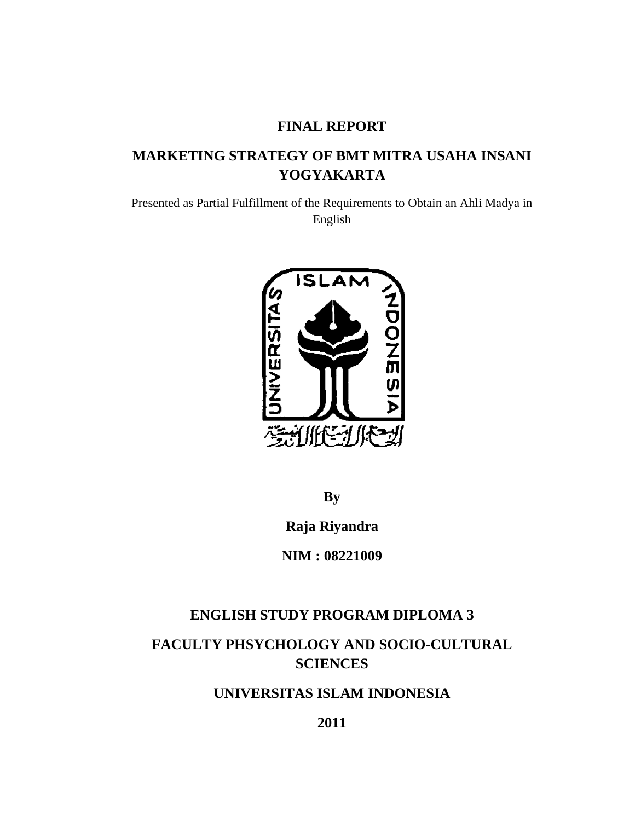## **FINAL REPORT**

# **MARKETING STRATEGY OF BMT MITRA USAHA INSANI YOGYAKARTA**

Presented as Partial Fulfillment of the Requirements to Obtain an Ahli Madya in English



**By**

**Raja Riyandra**

**NIM : 08221009**

## **ENGLISH STUDY PROGRAM DIPLOMA 3**

**FACULTY PHSYCHOLOGY AND SOCIO-CULTURAL SCIENCES**

**UNIVERSITAS ISLAM INDONESIA**

**2011**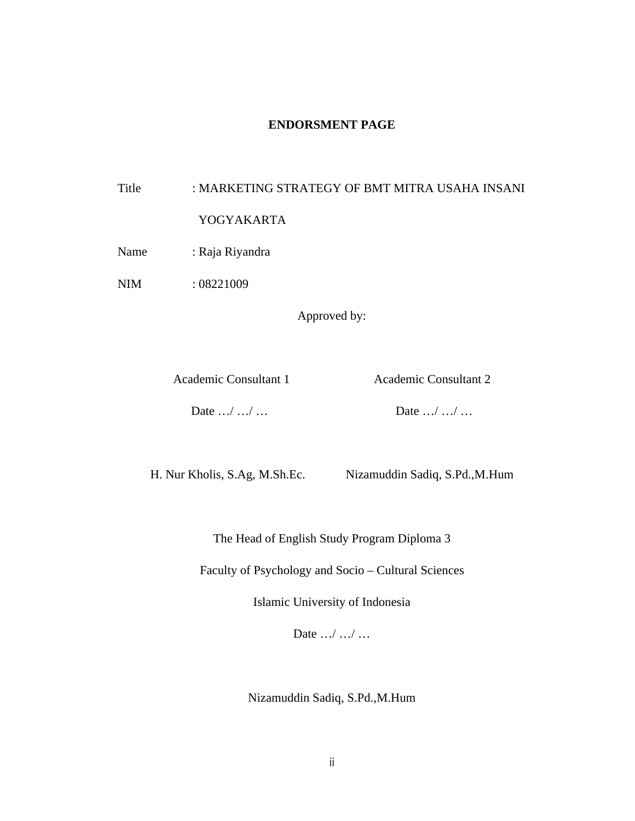#### **ENDORSMENT PAGE**

# Title : MARKETING STRATEGY OF BMT MITRA USAHA INSANI YOGYAKARTA

Name : Raja Riyandra

NIM : 08221009

Approved by:

Academic Consultant 1 Academic Consultant 2

Date …/ …/ …

H. Nur Kholis, S.Ag, M.Sh.Ec. Nizamuddin Sadiq, S.Pd.,M.Hum

The Head of English Study Program Diploma 3

Faculty of Psychology and Socio – Cultural Sciences

Islamic University of Indonesia

Date .../ .../ ...

Nizamuddin Sadiq, S.Pd.,M.Hum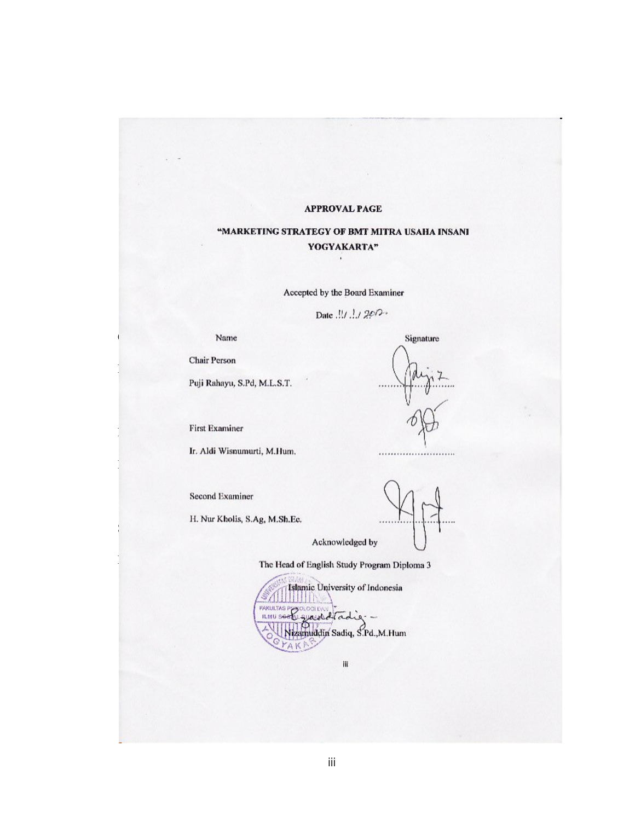#### **APPROVAL PAGE**

**"MARKETING STRATEGY OF BMT MITRA USAHA INSANI** 

**YOGYAKARTA"**

# "MARKETING STRATEGY OF BMT MITRA USAHA INSANI<br>"YOGYAKARTA"  $\mathbf{r}$

Accepted by the Board Examiner

Date  $M$   $M$  200-

Name

 $P_{\text{max}}$ 

Chair Person

First Examiner

Ir. Aldi Wisnumurti, M.Hum.

Ir. Aldi Wisnumurti, M.Hum. ……………………..

Second Examiner

Second Examiner

Acknowledged by

Signature

The Head of English Study Program Diploma 3

Islamic University of Indonesia  $T_{\text{min}}$  see Equal of English Study Program  $\text{Cyl}_2$ Islamic University of Indonesia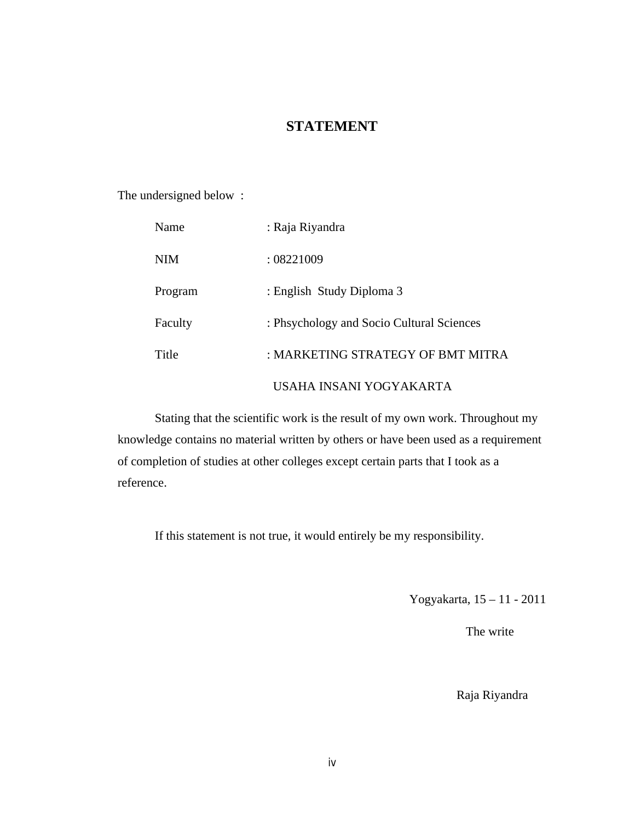### **STATEMENT**

The undersigned below :

| Name    | : Raja Riyandra                           |
|---------|-------------------------------------------|
| NIM     | : 08221009                                |
| Program | : English Study Diploma 3                 |
| Faculty | : Phsychology and Socio Cultural Sciences |
| Title   | : MARKETING STRATEGY OF BMT MITRA         |
|         | USAHA INSANI YOGYAKARTA                   |

Stating that the scientific work is the result of my own work. Throughout my knowledge contains no material written by others or have been used as a requirement of completion of studies at other colleges except certain parts that I took as a reference.

If this statement is not true, it would entirely be my responsibility.

Yogyakarta, 15 – 11 - 2011

The write

Raja Riyandra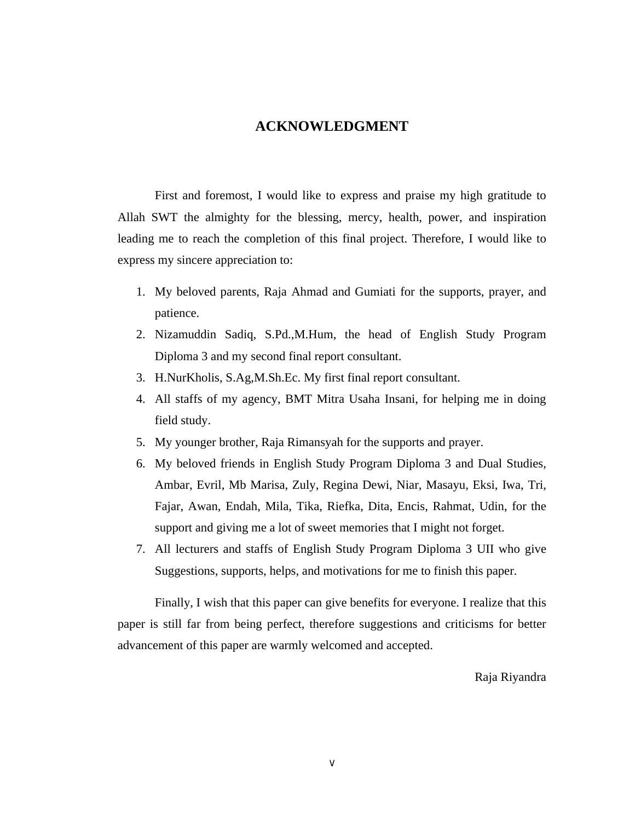#### **ACKNOWLEDGMENT**

First and foremost, I would like to express and praise my high gratitude to Allah SWT the almighty for the blessing, mercy, health, power, and inspiration leading me to reach the completion of this final project. Therefore, I would like to express my sincere appreciation to:

- 1. My beloved parents, Raja Ahmad and Gumiati for the supports, prayer, and patience.
- 2. Nizamuddin Sadiq, S.Pd.,M.Hum, the head of English Study Program Diploma 3 and my second final report consultant.
- 3. H.NurKholis, S.Ag,M.Sh.Ec. My first final report consultant.
- 4. All staffs of my agency, BMT Mitra Usaha Insani, for helping me in doing field study.
- 5. My younger brother, Raja Rimansyah for the supports and prayer.
- 6. My beloved friends in English Study Program Diploma 3 and Dual Studies, Ambar, Evril, Mb Marisa, Zuly, Regina Dewi, Niar, Masayu, Eksi, Iwa, Tri, Fajar, Awan, Endah, Mila, Tika, Riefka, Dita, Encis, Rahmat, Udin, for the support and giving me a lot of sweet memories that I might not forget.
- 7. All lecturers and staffs of English Study Program Diploma 3 UII who give Suggestions, supports, helps, and motivations for me to finish this paper.

Finally, I wish that this paper can give benefits for everyone. I realize that this paper is still far from being perfect, therefore suggestions and criticisms for better advancement of this paper are warmly welcomed and accepted.

Raja Riyandra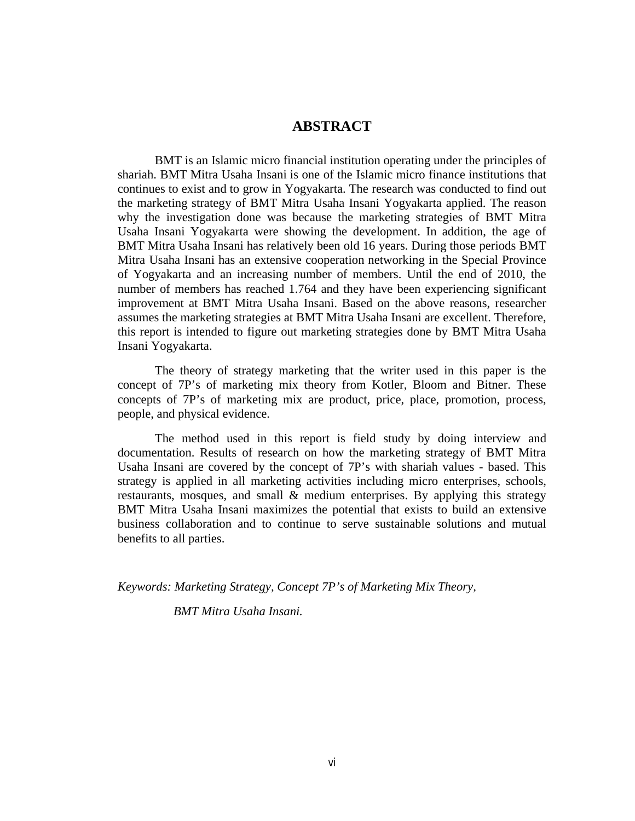#### **ABSTRACT**

BMT is an Islamic micro financial institution operating under the principles of shariah. BMT Mitra Usaha Insani is one of the Islamic micro finance institutions that continues to exist and to grow in Yogyakarta. The research was conducted to find out the marketing strategy of BMT Mitra Usaha Insani Yogyakarta applied. The reason why the investigation done was because the marketing strategies of BMT Mitra Usaha Insani Yogyakarta were showing the development. In addition, the age of BMT Mitra Usaha Insani has relatively been old 16 years. During those periods BMT Mitra Usaha Insani has an extensive cooperation networking in the Special Province of Yogyakarta and an increasing number of members. Until the end of 2010, the number of members has reached 1.764 and they have been experiencing significant improvement at BMT Mitra Usaha Insani. Based on the above reasons, researcher assumes the marketing strategies at BMT Mitra Usaha Insani are excellent. Therefore, this report is intended to figure out marketing strategies done by BMT Mitra Usaha Insani Yogyakarta.

The theory of strategy marketing that the writer used in this paper is the concept of 7P's of marketing mix theory from Kotler, Bloom and Bitner. These concepts of 7P's of marketing mix are product, price, place, promotion, process, people, and physical evidence.

The method used in this report is field study by doing interview and documentation. Results of research on how the marketing strategy of BMT Mitra Usaha Insani are covered by the concept of 7P's with shariah values - based. This strategy is applied in all marketing activities including micro enterprises, schools, restaurants, mosques, and small & medium enterprises. By applying this strategy BMT Mitra Usaha Insani maximizes the potential that exists to build an extensive business collaboration and to continue to serve sustainable solutions and mutual benefits to all parties.

*Keywords: Marketing Strategy, Concept 7P's of Marketing Mix Theory,* 

 *BMT Mitra Usaha Insani.*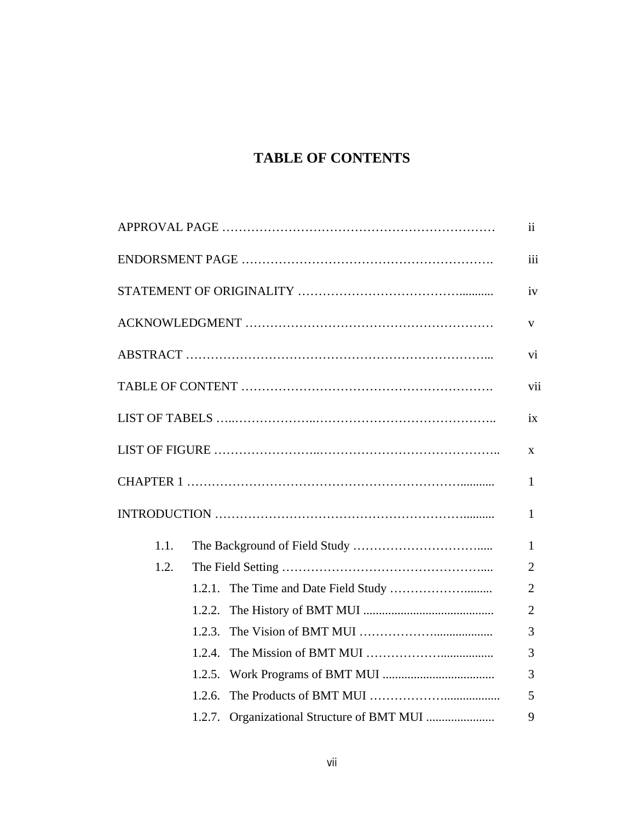# **TABLE OF CONTENTS**

|      |                                            | iii            |
|------|--------------------------------------------|----------------|
|      |                                            | iv             |
|      |                                            | V              |
|      |                                            | vi             |
|      |                                            | vii            |
|      |                                            | ix             |
|      |                                            | X              |
|      |                                            | 1              |
|      |                                            | 1              |
| 1.1. |                                            | $\mathbf{1}$   |
| 1.2. |                                            | 2              |
|      |                                            | $\overline{2}$ |
|      | 1.2.2.                                     | $\overline{2}$ |
|      | 1.2.3.                                     | 3              |
|      | 1.2.4.                                     | 3              |
|      | 1.2.5.                                     | 3              |
|      | 1.2.6.                                     | 5              |
|      | 1.2.7. Organizational Structure of BMT MUI | 9              |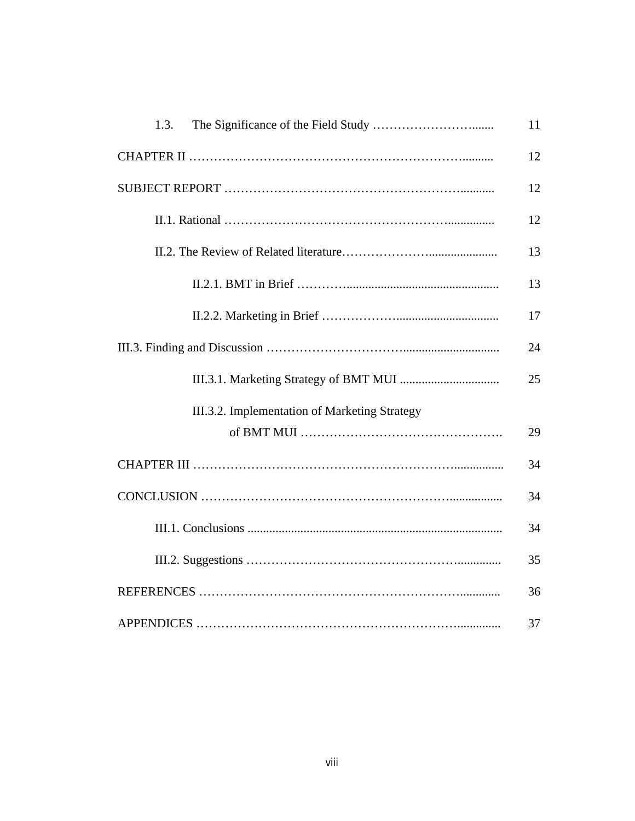| 1.3.                                          | 11 |  |
|-----------------------------------------------|----|--|
|                                               |    |  |
|                                               |    |  |
|                                               | 12 |  |
|                                               | 13 |  |
|                                               | 13 |  |
|                                               | 17 |  |
|                                               |    |  |
|                                               | 25 |  |
| III.3.2. Implementation of Marketing Strategy |    |  |
|                                               | 29 |  |
|                                               | 34 |  |
|                                               |    |  |
|                                               | 34 |  |
|                                               | 35 |  |
|                                               | 36 |  |
|                                               |    |  |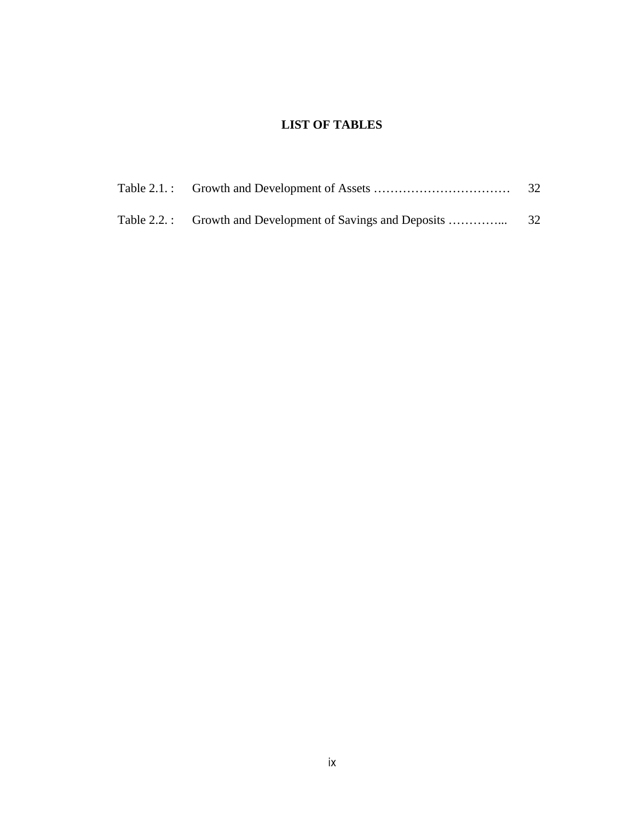### **LIST OF TABLES**

|  | 32 |
|--|----|
|  |    |